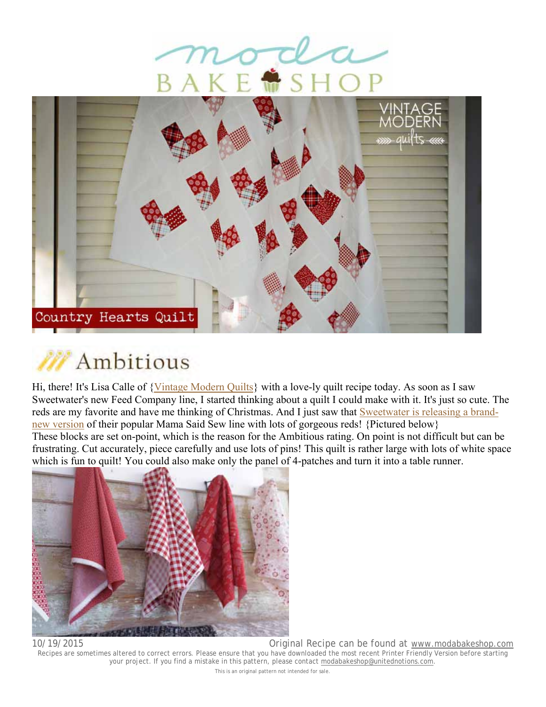





Hi, there! It's Lisa Calle of {Vintage Modern Quilts} with a love-ly quilt recipe today. As soon as I saw Sweetwater's new Feed Company line, I started thinking about a quilt I could make with it. It's just so cute. The reds are my favorite and have me thinking of Christmas. And I just saw that Sweetwater is releasing a brandnew version of their popular Mama Said Sew line with lots of gorgeous reds! {Pictured below} These blocks are set on-point, which is the reason for the Ambitious rating. On point is not difficult but can be frustrating. Cut accurately, piece carefully and use lots of pins! This quilt is rather large with lots of white space which is fun to quilt! You could also make only the panel of 4-patches and turn it into a table runner.



10/19/2015 Original Recipe can be found at www.modabakeshop.com

Recipes are sometimes altered to correct errors. Please ensure that you have downloaded the most recent Printer Friendly Version before starting your project. If you find a mistake in this pattern, please contact modabakeshop@unitednotions.com. This is an original pattern not intended for sale.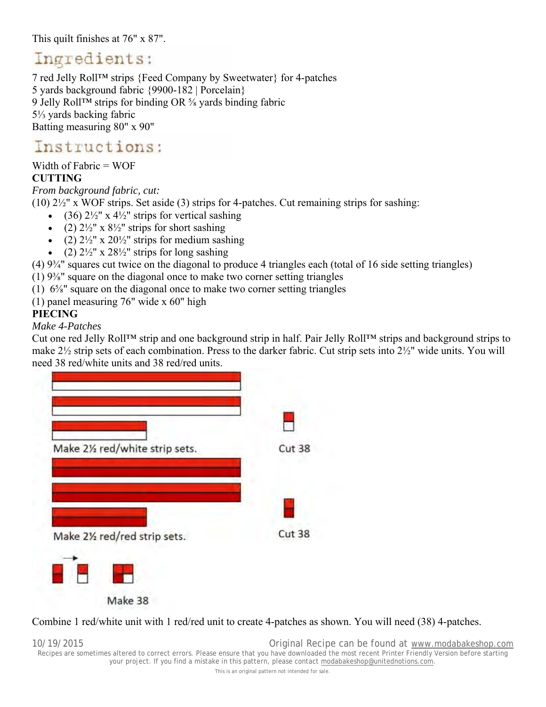This quilt finishes at 76" x 87".

# Ingredients:

7 red Jelly Roll™ strips {Feed Company by Sweetwater} for 4-patches 5 yards background fabric {9900-182 | Porcelain} 9 Jelly Roll™ strips for binding OR ⅝ yards binding fabric 5⅓ yards backing fabric Batting measuring 80" x 90"

# Instructions:

Width of Fabric = WOF

## **CUTTING**

*From background fabric, cut:*

(10) 2½" x WOF strips. Set aside (3) strips for 4-patches. Cut remaining strips for sashing:

- (36)  $2\frac{1}{2}$ " x  $4\frac{1}{2}$ " strips for vertical sashing
- (2)  $2\frac{1}{2}$ " x  $8\frac{1}{2}$ " strips for short sashing
- (2)  $2\frac{1}{2}$ " x  $20\frac{1}{2}$ " strips for medium sashing
- (2)  $2\frac{1}{2}$ " x  $28\frac{1}{2}$ " strips for long sashing

(4) 9¾" squares cut twice on the diagonal to produce 4 triangles each (total of 16 side setting triangles)

 $(1)$  9<sup>3</sup>/<sub>8</sub>" square on the diagonal once to make two corner setting triangles

(1) 6⅝" square on the diagonal once to make two corner setting triangles

(1) panel measuring 76" wide x 60" high

## **PIECING**

### *Make 4-Patches*

Cut one red Jelly Roll™ strip and one background strip in half. Pair Jelly Roll™ strips and background strips to make 2½ strip sets of each combination. Press to the darker fabric. Cut strip sets into 2½" wide units. You will need 38 red/white units and 38 red/red units.



### Combine 1 red/white unit with 1 red/red unit to create 4-patches as shown. You will need (38) 4-patches.

10/19/2015 Original Recipe can be found at www.modabakeshop.com Recipes are sometimes altered to correct errors. Please ensure that you have downloaded the most recent Printer Friendly Version before starting your project. If you find a mistake in this pattern, please contact modabakeshop@unitednotions.com. This is an original pattern not intended for sale.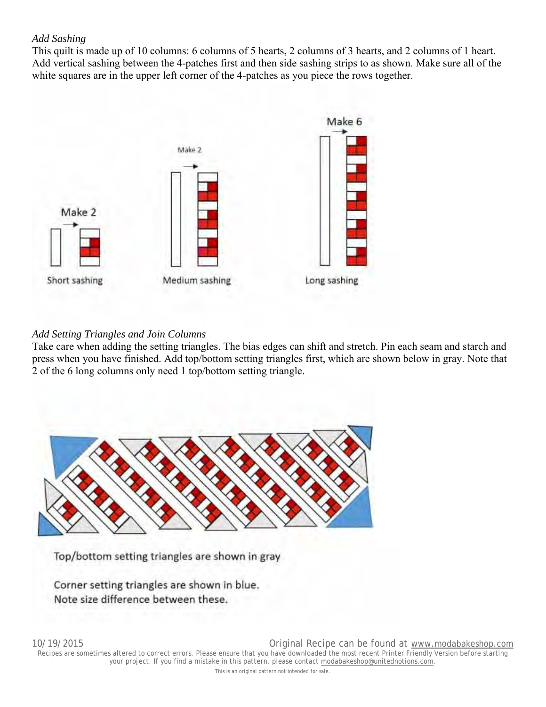#### *Add Sashing*

This quilt is made up of 10 columns: 6 columns of 5 hearts, 2 columns of 3 hearts, and 2 columns of 1 heart. Add vertical sashing between the 4-patches first and then side sashing strips to as shown. Make sure all of the white squares are in the upper left corner of the 4-patches as you piece the rows together.



#### *Add Setting Triangles and Join Columns*

Take care when adding the setting triangles. The bias edges can shift and stretch. Pin each seam and starch and press when you have finished. Add top/bottom setting triangles first, which are shown below in gray. Note that 2 of the 6 long columns only need 1 top/bottom setting triangle.



Top/bottom setting triangles are shown in gray

Corner setting triangles are shown in blue. Note size difference between these.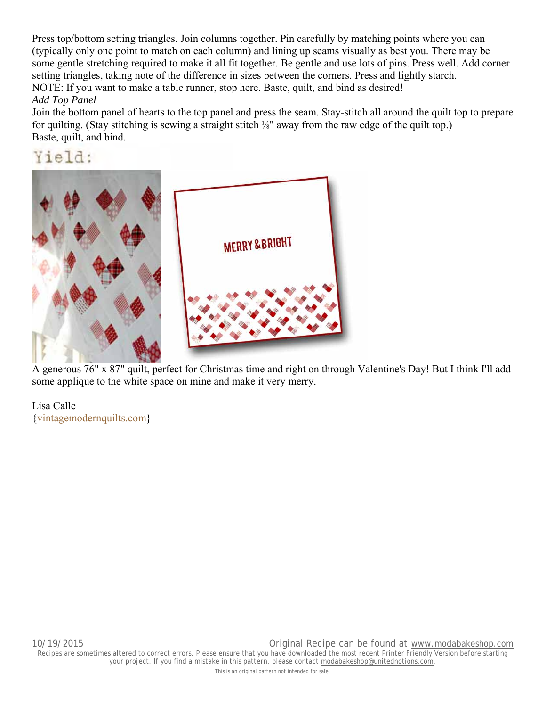Press top/bottom setting triangles. Join columns together. Pin carefully by matching points where you can (typically only one point to match on each column) and lining up seams visually as best you. There may be some gentle stretching required to make it all fit together. Be gentle and use lots of pins. Press well. Add corner setting triangles, taking note of the difference in sizes between the corners. Press and lightly starch. NOTE: If you want to make a table runner, stop here. Baste, quilt, and bind as desired! *Add Top Panel*

Join the bottom panel of hearts to the top panel and press the seam. Stay-stitch all around the quilt top to prepare for quilting. (Stay stitching is sewing a straight stitch ⅛" away from the raw edge of the quilt top.) Baste, quilt, and bind.

Yield:



 A generous 76" x 87" quilt, perfect for Christmas time and right on through Valentine's Day! But I think I'll add some applique to the white space on mine and make it very merry.

Lisa Calle {vintagemodernquilts.com}

This is an original pattern not intended for sale.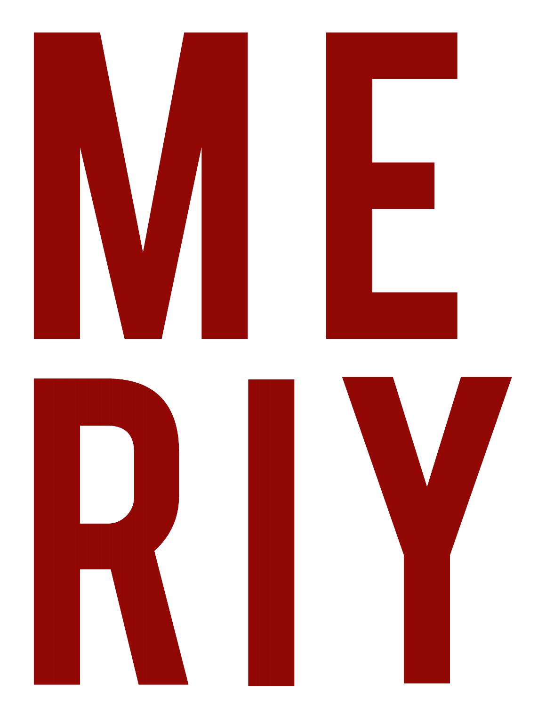